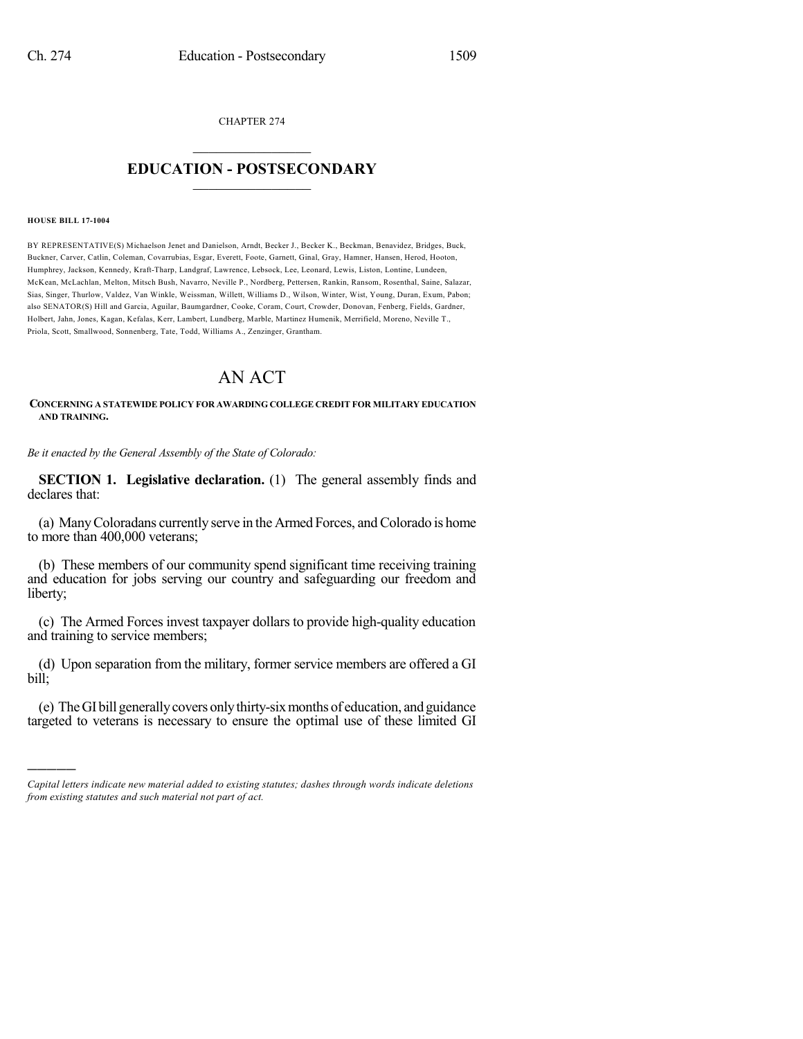CHAPTER 274

## $\overline{\phantom{a}}$  . The set of the set of the set of the set of the set of the set of the set of the set of the set of the set of the set of the set of the set of the set of the set of the set of the set of the set of the set o **EDUCATION - POSTSECONDARY**  $\_$   $\_$   $\_$   $\_$   $\_$   $\_$   $\_$   $\_$   $\_$

#### **HOUSE BILL 17-1004**

)))))

BY REPRESENTATIVE(S) Michaelson Jenet and Danielson, Arndt, Becker J., Becker K., Beckman, Benavidez, Bridges, Buck, Buckner, Carver, Catlin, Coleman, Covarrubias, Esgar, Everett, Foote, Garnett, Ginal, Gray, Hamner, Hansen, Herod, Hooton, Humphrey, Jackson, Kennedy, Kraft-Tharp, Landgraf, Lawrence, Lebsock, Lee, Leonard, Lewis, Liston, Lontine, Lundeen, McKean, McLachlan, Melton, Mitsch Bush, Navarro, Neville P., Nordberg, Pettersen, Rankin, Ransom, Rosenthal, Saine, Salazar, Sias, Singer, Thurlow, Valdez, Van Winkle, Weissman, Willett, Williams D., Wilson, Winter, Wist, Young, Duran, Exum, Pabon; also SENATOR(S) Hill and Garcia, Aguilar, Baumgardner, Cooke, Coram, Court, Crowder, Donovan, Fenberg, Fields, Gardner, Holbert, Jahn, Jones, Kagan, Kefalas, Kerr, Lambert, Lundberg, Marble, Martinez Humenik, Merrifield, Moreno, Neville T., Priola, Scott, Smallwood, Sonnenberg, Tate, Todd, Williams A., Zenzinger, Grantham.

# AN ACT

### **CONCERNING A STATEWIDE POLICY FOR AWARDING COLLEGE CREDIT FOR MILITARY EDUCATION AND TRAINING.**

*Be it enacted by the General Assembly of the State of Colorado:*

**SECTION 1. Legislative declaration.** (1) The general assembly finds and declares that:

(a) ManyColoradans currently serve in the Armed Forces, andColorado is home to more than 400,000 veterans;

(b) These members of our community spend significant time receiving training and education for jobs serving our country and safeguarding our freedom and liberty;

(c) The Armed Forces invest taxpayer dollars to provide high-quality education and training to service members;

(d) Upon separation from the military, former service members are offered a GI bill;

(e) TheGI bill generallycovers onlythirty-sixmonths of education, and guidance targeted to veterans is necessary to ensure the optimal use of these limited GI

*Capital letters indicate new material added to existing statutes; dashes through words indicate deletions from existing statutes and such material not part of act.*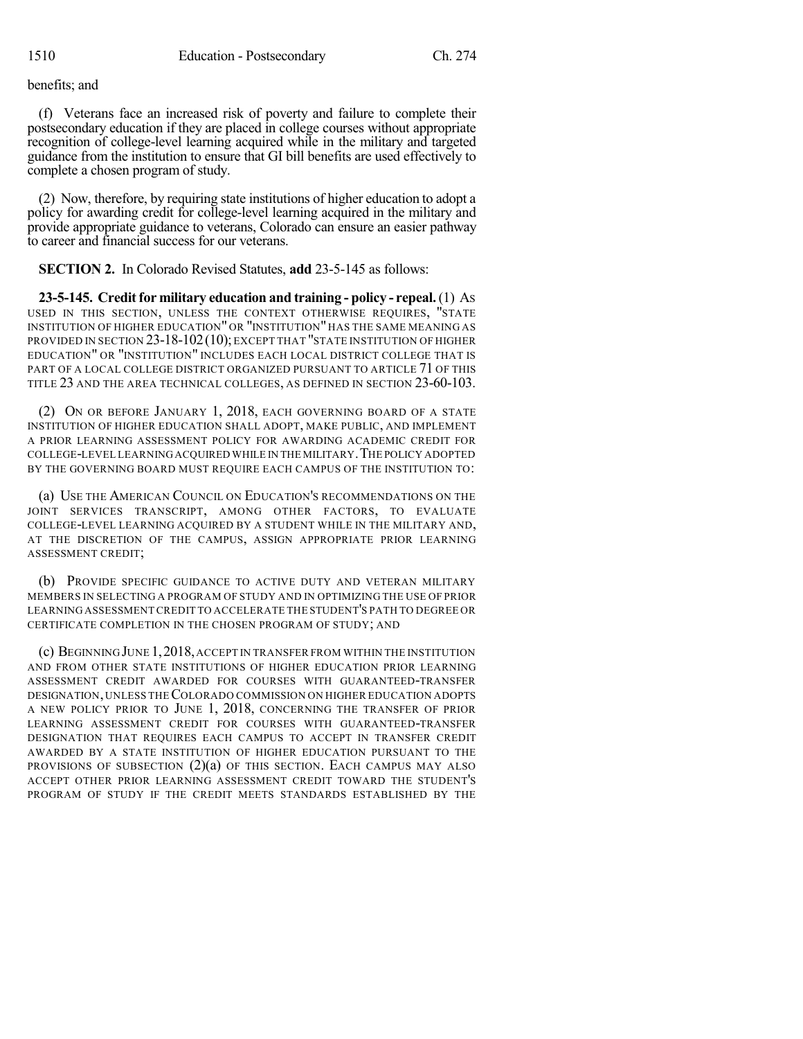### benefits; and

(f) Veterans face an increased risk of poverty and failure to complete their postsecondary education if they are placed in college courses without appropriate recognition of college-level learning acquired while in the military and targeted guidance from the institution to ensure that GI bill benefits are used effectively to complete a chosen program of study.

(2) Now, therefore, by requiring state institutions of higher education to adopt a policy for awarding credit for college-level learning acquired in the military and provide appropriate guidance to veterans, Colorado can ensure an easier pathway to career and financial success for our veterans.

**SECTION 2.** In Colorado Revised Statutes, **add** 23-5-145 as follows:

**23-5-145. Creditfor military education and training - policy - repeal.**(1) AS USED IN THIS SECTION, UNLESS THE CONTEXT OTHERWISE REQUIRES, "STATE INSTITUTION OF HIGHER EDUCATION" OR "INSTITUTION" HAS THE SAME MEANING AS PROVIDED IN SECTION 23-18-102 (10); EXCEPT THAT "STATE INSTITUTION OF HIGHER EDUCATION" OR "INSTITUTION" INCLUDES EACH LOCAL DISTRICT COLLEGE THAT IS PART OF A LOCAL COLLEGE DISTRICT ORGANIZED PURSUANT TO ARTICLE 71 OF THIS TITLE 23 AND THE AREA TECHNICAL COLLEGES, AS DEFINED IN SECTION 23-60-103.

(2) ON OR BEFORE JANUARY 1, 2018, EACH GOVERNING BOARD OF A STATE INSTITUTION OF HIGHER EDUCATION SHALL ADOPT, MAKE PUBLIC, AND IMPLEMENT A PRIOR LEARNING ASSESSMENT POLICY FOR AWARDING ACADEMIC CREDIT FOR COLLEGE-LEVEL LEARNINGACQUIRED WHILE IN THE MILITARY.THE POLICY ADOPTED BY THE GOVERNING BOARD MUST REQUIRE EACH CAMPUS OF THE INSTITUTION TO:

(a) USE THE AMERICAN COUNCIL ON EDUCATION'S RECOMMENDATIONS ON THE JOINT SERVICES TRANSCRIPT, AMONG OTHER FACTORS, TO EVALUATE COLLEGE-LEVEL LEARNING ACQUIRED BY A STUDENT WHILE IN THE MILITARY AND, AT THE DISCRETION OF THE CAMPUS, ASSIGN APPROPRIATE PRIOR LEARNING ASSESSMENT CREDIT;

(b) PROVIDE SPECIFIC GUIDANCE TO ACTIVE DUTY AND VETERAN MILITARY MEMBERS IN SELECTING A PROGRAM OF STUDY AND IN OPTIMIZING THE USE OF PRIOR LEARNING ASSESSMENTCREDIT TO ACCELERATE THE STUDENT'S PATH TO DEGREE OR CERTIFICATE COMPLETION IN THE CHOSEN PROGRAM OF STUDY; AND

(c) BEGINNING JUNE 1,2018,ACCEPT IN TRANSFER FROM WITHIN THE INSTITUTION AND FROM OTHER STATE INSTITUTIONS OF HIGHER EDUCATION PRIOR LEARNING ASSESSMENT CREDIT AWARDED FOR COURSES WITH GUARANTEED-TRANSFER DESIGNATION,UNLESS THECOLORADO COMMISSION ON HIGHER EDUCATION ADOPTS A NEW POLICY PRIOR TO JUNE 1, 2018, CONCERNING THE TRANSFER OF PRIOR LEARNING ASSESSMENT CREDIT FOR COURSES WITH GUARANTEED-TRANSFER DESIGNATION THAT REQUIRES EACH CAMPUS TO ACCEPT IN TRANSFER CREDIT AWARDED BY A STATE INSTITUTION OF HIGHER EDUCATION PURSUANT TO THE PROVISIONS OF SUBSECTION (2)(a) OF THIS SECTION. EACH CAMPUS MAY ALSO ACCEPT OTHER PRIOR LEARNING ASSESSMENT CREDIT TOWARD THE STUDENT'S PROGRAM OF STUDY IF THE CREDIT MEETS STANDARDS ESTABLISHED BY THE